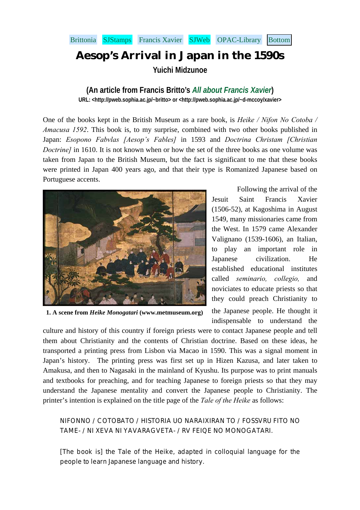## <span id="page-0-0"></span>[Brittonia](http://pweb.sophia.ac.jp/~britto/) [SJStamps](http://www.manresa-sj.org/stamps/home.htm) [Francis Xavier](http://pweb.sophia.ac.jp/~d-mccoy/xavier/) [SJWeb](http://www.sjweb.info/) [OPAC-Library](http://lux.lib.sophia.ac.jp/opac/index-j.html) [Bottom](#page-6-0)

## **Aesop's Arrival in Japan in the 1590s**

**Yuichi Midzunoe** 

## **(An article from Francis Britto's** *[All about Francis Xavier](http://pweb.sophia.ac.jp/~d-mccoy/xavier/)***)**

**URL: <[http://pweb.sophia.ac.jp/~britto>](http://pweb.sophia.ac.jp/~britto) or <http://pweb.sophia.ac.jp/~d-mccoy/xavier>** 

One of the books kept in the British Museum as a rare book, is *Heike / Nifon No Cotoba / Amacusa 1592*. This book is, to my surprise, combined with two other books published in Japan: *Esopono Fabvlas [Aesop's Fables]* in 1593 and *Doctrina Christam [Christian Doctrine]* in 1610. It is not known when or how the set of the three books as one volume was taken from Japan to the British Museum, but the fact is significant to me that these books were printed in Japan 400 years ago, and that their type is Romanized Japanese based on Portuguese accents.



**1. A scene from** *Heike Monogatari* **(www.metmuseum.org)**

Following the arrival of the Jesuit Saint Francis Xavier (1506-52), at Kagoshima in August 1549, many missionaries came from the West. In 1579 came Alexander Valignano (1539-1606), an Italian, to play an important role in Japanese civilization. He established educational institutes called *seminario, collegio,* and noviciates to educate priests so that they could preach Christianity to the Japanese people. He thought it indispensable to understand the

culture and history of this country if foreign priests were to contact Japanese people and tell them about Christianity and the contents of Christian doctrine. Based on these ideas, he transported a printing press from Lisbon via Macao in 1590. This was a signal moment in Japan's history. The printing press was first set up in Hizen Kazusa, and later taken to Amakusa, and then to Nagasaki in the mainland of Kyushu. Its purpose was to print manuals and textbooks for preaching, and for teaching Japanese to foreign priests so that they may understand the Japanese mentality and convert the Japanese people to Christianity. The printer's intention is explained on the title page of the *Tale of the Heike* as follows:

## NIFONNO / COTOBATO / HISTORIA UO NARAIXIRAN TO / FOSSVRU FITO NO TAME- / NI XEVA NI YAVARAGVETA- / RV FEIQE NO MONOGATARI.

[The book is] the Tale of the Heike, adapted in colloquial language for the people to learn Japanese language and history.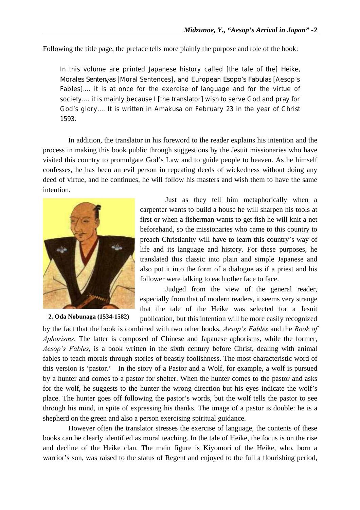Following the title page, the preface tells more plainly the purpose and role of the book:

In this volume are printed Japanese history called [the tale of the] *Heike, Morales Sentenças* [Moral Sentences], and European *Esopo's Fabulas* [Aesop's Fables]*.*... it is at once for the exercise of language and for the virtue of society.... it is mainly because I [the translator] wish to serve God and pray for God's glory.... It is written in Amakusa on February 23 in the year of Christ 1593.

In addition, the translator in his foreword to the reader explains his intention and the process in making this book public through suggestions by the Jesuit missionaries who have visited this country to promulgate God's Law and to guide people to heaven. As he himself confesses, he has been an evil person in repeating deeds of wickedness without doing any deed of virtue, and he continues, he will follow his masters and wish them to have the same intention.



**2. Oda Nobunaga (1534-1582)**

Just as they tell him metaphorically when a carpenter wants to build a house he will sharpen his tools at first or when a fisherman wants to get fish he will knit a net beforehand, so the missionaries who came to this country to preach Christianity will have to learn this country's way of life and its language and history. For these purposes, he translated this classic into plain and simple Japanese and also put it into the form of a dialogue as if a priest and his follower were talking to each other face to face.

Judged from the view of the general reader, especially from that of modern readers, it seems very strange that the tale of the Heike was selected for a Jesuit publication, but this intention will be more easily recognized

by the fact that the book is combined with two other books, *Aesop's Fables* and the *Book of Aphorisms*. The latter is composed of Chinese and Japanese aphorisms, while the former, *Aesop's Fables*, is a book written in the sixth century before Christ, dealing with animal fables to teach morals through stories of beastly foolishness. The most characteristic word of this version is 'pastor.' In the story of a Pastor and a Wolf, for example, a wolf is pursued by a hunter and comes to a pastor for shelter. When the hunter comes to the pastor and asks for the wolf, he suggests to the hunter the wrong direction but his eyes indicate the wolf's place. The hunter goes off following the pastor's words, but the wolf tells the pastor to see through his mind, in spite of expressing his thanks. The image of a pastor is double: he is a shepherd on the green and also a person exercising spiritual guidance.

However often the translator stresses the exercise of language, the contents of these books can be clearly identified as moral teaching. In the tale of Heike, the focus is on the rise and decline of the Heike clan. The main figure is Kiyomori of the Heike, who, born a warrior's son, was raised to the status of Regent and enjoyed to the full a flourishing period,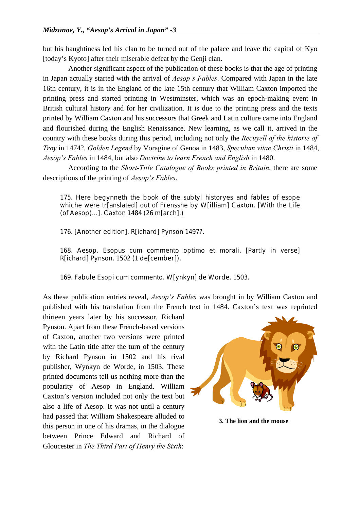but his haughtiness led his clan to be turned out of the palace and leave the capital of Kyo [today's Kyoto] after their miserable defeat by the Genji clan.

Another significant aspect of the publication of these books is that the age of printing in Japan actually started with the arrival of *Aesop's Fables*. Compared with Japan in the late 16th century, it is in the England of the late 15th century that William Caxton imported the printing press and started printing in Westminster, which was an epoch-making event in British cultural history and for her civilization. It is due to the printing press and the texts printed by William Caxton and his successors that Greek and Latin culture came into England and flourished during the English Renaissance. New learning, as we call it, arrived in the country with these books during this period, including not only the *Recuyell of the historie of Troy* in 1474?, *Golden Legend* by Voragine of Genoa in 1483, *Speculum vitae Christi* in 1484, *Aesop's Fables* in 1484, but also *Doctrine to learn French and English* in 1480.

According to the *Short-Title Catalogue of Books printed in Britain*, there are some descriptions of the printing of *Aesop's Fables*.

175. Here begynneth the book of the subtyl historyes and fables of esope whiche were tr[anslated] out of Frensshe by W[illiam] Caxton. [With the Life (of Aesop)...]. Caxton 1484 (26 m[arch].)

176. [Another edition]. R[ichard] Pynson 1497?.

168. Aesop. Esopus cum commento optimo et morali. [Partly in verse] R[ichard] Pynson. 1502 (1 de[cember]).

169. Fabule Esopi cum commento. W[ynkyn] de Worde. 1503.

As these publication entries reveal, *Aesop's Fables* was brought in by William Caxton and published with his translation from the French text in 1484. Caxton's text was reprinted

thirteen years later by his successor, Richard Pynson. Apart from these French-based versions of Caxton, another two versions were printed with the Latin title after the turn of the century by Richard Pynson in 1502 and his rival publisher, Wynkyn de Worde, in 1503. These printed documents tell us nothing more than the popularity of Aesop in England. William Caxton's version included not only the text but also a life of Aesop. It was not until a century had passed that William Shakespeare alluded to this person in one of his dramas, in the dialogue between Prince Edward and Richard of Gloucester in *The Third Part of Henry the Sixth*:



**3. The lion and the mouse**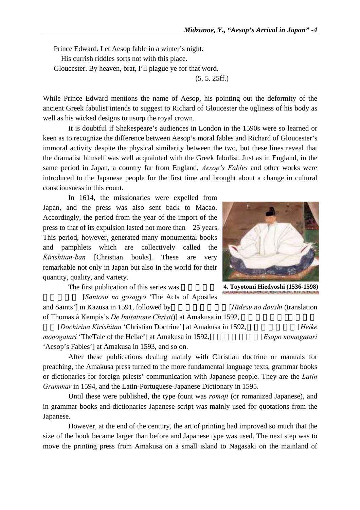Prince Edward. Let Aesop fable in a winter's night. His currish riddles sorts not with this place. Gloucester. By heaven, brat, I'll plague ye for that word. (5. 5. 25ff.)

While Prince Edward mentions the name of Aesop, his pointing out the deformity of the ancient Greek fabulist intends to suggest to Richard of Gloucester the ugliness of his body as well as his wicked designs to usurp the royal crown.

It is doubtful if Shakespeare's audiences in London in the 1590s were so learned or keen as to recognize the difference between Aesop's moral fables and Richard of Gloucester's immoral activity despite the physical similarity between the two, but these lines reveal that the dramatist himself was well acquainted with the Greek fabulist. Just as in England, in the same period in Japan, a country far from England, *Aesop's Fables* and other works were introduced to the Japanese people for the first time and brought about a change in cultural consciousness in this count.

In 1614, the missionaries were expelled from Japan, and the press was also sent back to Macao. Accordingly, the period from the year of the import of the press to that of its expulsion lasted not more than 25 years. This period, however, generated many monumental books and pamphlets which are collectively called the *Kirishitan-ban* [Christian books]. These are very remarkable not only in Japan but also in the world for their quantity, quality, and variety.

The first publication of this series was

[*Santosu no gosagyō* 'The Acts of Apostles and Saints'] in Kazusa in 1591, followed by *[Hidesu no doushi (translation*)

of Thomas à Kempis's *De Imitatione Christi*)] at Amakusa in 1592,

[*Dochirina Kirishitan* 'Christian Doctrine'] at Amakusa in 1592, [*Heike monogatari* 'TheTale of the Heike'] at Amakusa in 1592, [*Esopo monogatari Esopo monogatari* 'Aesop's Fables'] at Amakusa in 1593, and so on.

After these publications dealing mainly with Christian doctrine or manuals for preaching, the Amakusa press turned to the more fundamental language texts, grammar books or dictionaries for foreign priests' communication with Japanese people. They are the *Latin Grammar* in 1594, and the Latin-Portuguese-Japanese Dictionary in 1595.

Until these were published, the type fount was *romaji* (or romanized Japanese), and in grammar books and dictionaries Japanese script was mainly used for quotations from the Japanese.

However, at the end of the century, the art of printing had improved so much that the size of the book became larger than before and Japanese type was used. The next step was to move the printing press from Amakusa on a small island to Nagasaki on the mainland of

**4. Toyotomi Hiedyoshi (1536-1598)**

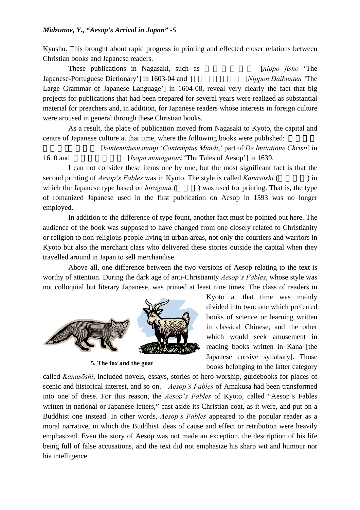Kyushu. This brought about rapid progress in printing and effected closer relations between Christian books and Japanese readers.

These publications in Nagasaki, such as *[nippo jisho* 'The Japanese-Portuguese Dictionary'] in 1603-04 and *[Nippon Daibunten 'The* Large Grammar of Japanese Language'] in 1604-08, reveal very clearly the fact that big projects for publications that had been prepared for several years were realized as substantial material for preachers and, in addition, for Japanese readers whose interests in foreign culture were aroused in general through these Christian books.

As a result, the place of publication moved from Nagasaki to Kyoto, the capital and centre of Japanese culture at that time, where the following books were published:

むつす・むん地』 [*kontemutusu munji* '*Contemptus Mundi*,' part of *De Imitatione Christi*] in 1610 and *[Isopo monogatari* 'The Tales of Aesop'] in 1639.

I can not consider these items one by one, but the most significant fact is that the second printing of *Aesop's Fables* was in Kyoto. The style is called *Kanasoni* (and  $\overline{O}$ ) in which the Japanese type based on *hiragana* () was used for printing. That is, the type of romanized Japanese used in the first publication on Aesop in 1593 was no longer employed.

In addition to the difference of type fount, another fact must be pointed out here. The audience of the book was supposed to have changed from one closely related to Christianity or religion to non-religious people living in urban areas, not only the courtiers and warriors in Kyoto but also the merchant class who delivered these stories outside the capital when they travelled around in Japan to sell merchandise.

Above all, one difference between the two versions of Aesop relating to the text is worthy of attention. During the dark age of anti-Christianity *Aesop's Fables*, whose style was not colloquial but literary Japanese, was printed at least nine times. The class of readers in



**5. The fox and the goat**

Kyoto at that time was mainly divided into two: one which preferred books of science or learning written in classical Chinese, and the other which would seek amusement in reading books written in Kana [the Japanese cursive syllabary]. Those books belonging to the latter category

called *Kanasōshi*, included novels, essays, stories of hero-worship, guidebooks for places of scenic and historical interest, and so on. *Aesop's Fables* of Amakusa had been transformed into one of these. For this reason, the *Aesop's Fables* of Kyoto, called "Aesop's Fables written in national or Japanese letters," cast aside its Christian coat, as it were, and put on a Buddhist one instead. In other words, *Aesop's Fables* appeared to the popular reader as a moral narrative, in which the Buddhist ideas of cause and effect or retribution were heavily emphasized. Even the story of Aesop was not made an exception, the description of his life being full of false accusations, and the text did not emphasize his sharp wit and humour nor his intelligence.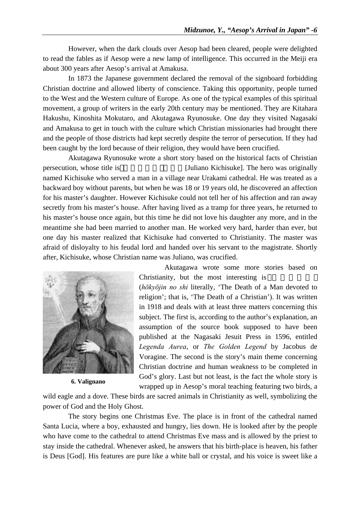However, when the dark clouds over Aesop had been cleared, people were delighted to read the fables as if Aesop were a new lamp of intelligence. This occurred in the Meiji era about 300 years after Aesop's arrival at Amakusa.

In 1873 the Japanese government declared the removal of the signboard forbidding Christian doctrine and allowed liberty of conscience. Taking this opportunity, people turned to the West and the Western culture of Europe. As one of the typical examples of this spiritual movement, a group of writers in the early 20th century may be mentioned. They are Kitahara Hakushu, Kinoshita Mokutaro, and Akutagawa Ryunosuke. One day they visited Nagasaki and Amakusa to get in touch with the culture which Christian missionaries had brought there and the people of those districts had kept secretly despite the terror of persecution. If they had been caught by the lord because of their religion, they would have been crucified.

Akutagawa Ryunosuke wrote a short story based on the historical facts of Christian persecution, whose title is [Juliano Kichisuke]. The hero was originally named Kichisuke who served a man in a village near Urakami cathedral. He was treated as a backward boy without parents, but when he was 18 or 19 years old, he discovered an affection for his master's daughter. However Kichisuke could not tell her of his affection and ran away secretly from his master's house. After having lived as a tramp for three years, he returned to his master's house once again, but this time he did not love his daughter any more, and in the meantime she had been married to another man. He worked very hard, harder than ever, but one day his master realized that Kichisuke had converted to Christianity. The master was afraid of disloyalty to his feudal lord and handed over his servant to the magistrate. Shortly after, Kichisuke, whose Christian name was Juliano, was crucified.



**6. Valignano**

 Akutagawa wrote some more stories based on Christianity, but the most interesting is

(*hōkyōjin no shi* literally, 'The Death of a Man devoted to religion'; that is, 'The Death of a Christian'). It was written in 1918 and deals with at least three matters concerning this subject. The first is, according to the author's explanation, an assumption of the source book supposed to have been published at the Nagasaki Jesuit Press in 1596, entitled *Legenda Aurea*, or *The Golden Legend* by Jacobus de Voragine. The second is the story's main theme concerning Christian doctrine and human weakness to be completed in God's glory. Last but not least, is the fact the whole story is wrapped up in Aesop's moral teaching featuring two birds, a

wild eagle and a dove. These birds are sacred animals in Christianity as well, symbolizing the power of God and the Holy Ghost.

The story begins one Christmas Eve. The place is in front of the cathedral named Santa Lucia, where a boy, exhausted and hungry, lies down. He is looked after by the people who have come to the cathedral to attend Christmas Eve mass and is allowed by the priest to stay inside the cathedral. Whenever asked, he answers that his birth-place is heaven, his father is Deus [God]. His features are pure like a white ball or crystal, and his voice is sweet like a